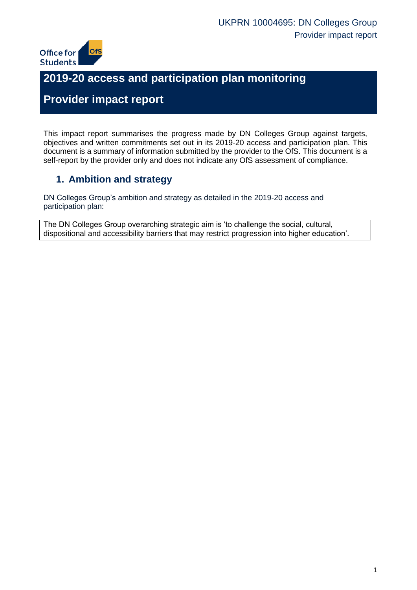

# **2019-20 access and participation plan monitoring**

## **Provider impact report**

This impact report summarises the progress made by DN Colleges Group against targets, objectives and written commitments set out in its 2019-20 access and participation plan. This document is a summary of information submitted by the provider to the OfS. This document is a self-report by the provider only and does not indicate any OfS assessment of compliance.

### **1. Ambition and strategy**

DN Colleges Group's ambition and strategy as detailed in the 2019-20 access and participation plan:

The DN Colleges Group overarching strategic aim is 'to challenge the social, cultural, dispositional and accessibility barriers that may restrict progression into higher education'.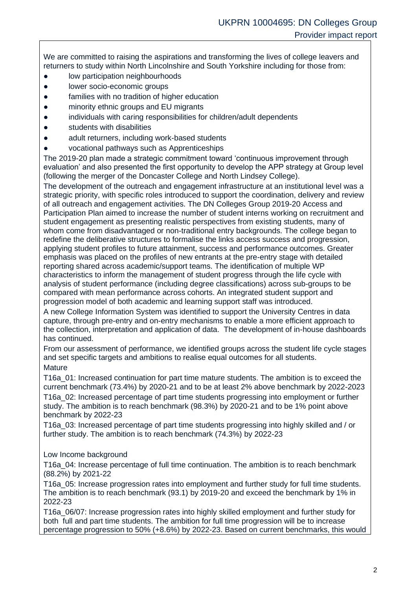We are committed to raising the aspirations and transforming the lives of college leavers and returners to study within North Lincolnshire and South Yorkshire including for those from:

- low participation neighbourhoods
- lower socio-economic groups
- families with no tradition of higher education
- minority ethnic groups and EU migrants
- individuals with caring responsibilities for children/adult dependents
- students with disabilities
- adult returners, including work-based students
- vocational pathways such as Apprenticeships

The 2019-20 plan made a strategic commitment toward 'continuous improvement through evaluation' and also presented the first opportunity to develop the APP strategy at Group level (following the merger of the Doncaster College and North Lindsey College).

The development of the outreach and engagement infrastructure at an institutional level was a strategic priority, with specific roles introduced to support the coordination, delivery and review of all outreach and engagement activities. The DN Colleges Group 2019-20 Access and Participation Plan aimed to increase the number of student interns working on recruitment and student engagement as presenting realistic perspectives from existing students, many of whom come from disadvantaged or non-traditional entry backgrounds. The college began to redefine the deliberative structures to formalise the links access success and progression, applying student profiles to future attainment, success and performance outcomes. Greater emphasis was placed on the profiles of new entrants at the pre-entry stage with detailed reporting shared across academic/support teams. The identification of multiple WP characteristics to inform the management of student progress through the life cycle with analysis of student performance (including degree classifications) across sub-groups to be compared with mean performance across cohorts. An integrated student support and progression model of both academic and learning support staff was introduced.

A new College Information System was identified to support the University Centres in data capture, through pre-entry and on-entry mechanisms to enable a more efficient approach to the collection, interpretation and application of data. The development of in-house dashboards has continued.

From our assessment of performance, we identified groups across the student life cycle stages and set specific targets and ambitions to realise equal outcomes for all students. **Mature** 

T16a\_01: Increased continuation for part time mature students. The ambition is to exceed the current benchmark (73.4%) by 2020-21 and to be at least 2% above benchmark by 2022-2023 T16a\_02: Increased percentage of part time students progressing into employment or further study. The ambition is to reach benchmark (98.3%) by 2020-21 and to be 1% point above benchmark by 2022-23

T16a\_03: Increased percentage of part time students progressing into highly skilled and / or further study. The ambition is to reach benchmark (74.3%) by 2022-23

#### Low Income background

T16a\_04: Increase percentage of full time continuation. The ambition is to reach benchmark (88.2%) by 2021-22

T16a\_05: Increase progression rates into employment and further study for full time students. The ambition is to reach benchmark (93.1) by 2019-20 and exceed the benchmark by 1% in 2022-23

T16a\_06/07: Increase progression rates into highly skilled employment and further study for both full and part time students. The ambition for full time progression will be to increase percentage progression to 50% (+8.6%) by 2022-23. Based on current benchmarks, this would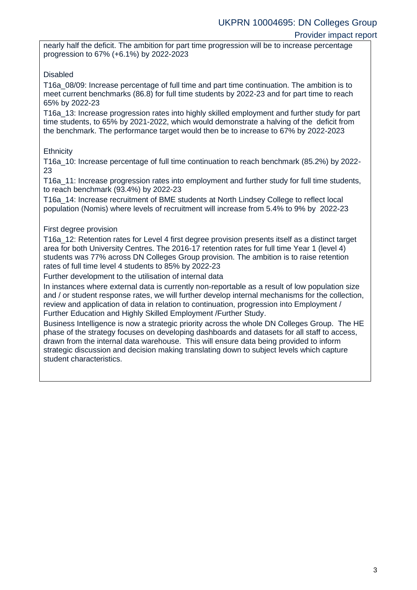#### Provider impact report

nearly half the deficit. The ambition for part time progression will be to increase percentage progression to 67% (+6.1%) by 2022-2023

### Disabled

T16a\_08/09: Increase percentage of full time and part time continuation. The ambition is to meet current benchmarks (86.8) for full time students by 2022-23 and for part time to reach 65% by 2022-23

T16a\_13: Increase progression rates into highly skilled employment and further study for part time students, to 65% by 2021-2022, which would demonstrate a halving of the deficit from the benchmark. The performance target would then be to increase to 67% by 2022-2023

### **Ethnicity**

T16a\_10: Increase percentage of full time continuation to reach benchmark (85.2%) by 2022- 23

T16a\_11: Increase progression rates into employment and further study for full time students, to reach benchmark (93.4%) by 2022-23

T16a\_14: Increase recruitment of BME students at North Lindsey College to reflect local population (Nomis) where levels of recruitment will increase from 5.4% to 9% by 2022-23

#### First degree provision

T16a\_12: Retention rates for Level 4 first degree provision presents itself as a distinct target area for both University Centres. The 2016-17 retention rates for full time Year 1 (level 4) students was 77% across DN Colleges Group provision. The ambition is to raise retention rates of full time level 4 students to 85% by 2022-23

Further development to the utilisation of internal data

In instances where external data is currently non-reportable as a result of low population size and / or student response rates, we will further develop internal mechanisms for the collection, review and application of data in relation to continuation, progression into Employment / Further Education and Highly Skilled Employment /Further Study.

Business Intelligence is now a strategic priority across the whole DN Colleges Group. The HE phase of the strategy focuses on developing dashboards and datasets for all staff to access, drawn from the internal data warehouse. This will ensure data being provided to inform strategic discussion and decision making translating down to subject levels which capture student characteristics.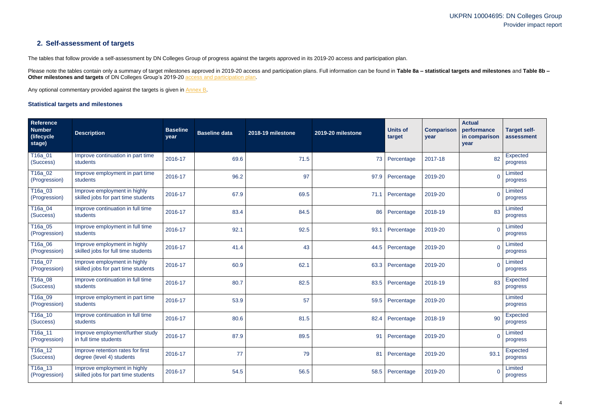### **2. Self-assessment of targets**

The tables that follow provide a self-assessment by DN Colleges Group of progress against the targets approved in its 2019-20 access and participation plan.

Please note the tables contain only a summary of target milestones approved in 2019-20 access and participation plans. Full information can be found in Table 8a - statistical targets and milestones and Table 8b -**Other milestones and targets** of DN Colleges Group's 2019-20 **access and participation plan**.

Any optional commentary provided against the targets is given in [Annex B.](#page-13-0)

### <span id="page-3-0"></span>**Statistical targets and milestones**

| Reference<br><b>Number</b><br>(lifecycle)<br>stage) | <b>Description</b>                                                  | <b>Baseline</b><br>year | <b>Baseline data</b> | 2018-19 milestone | 2019-20 milestone | <b>Units of</b><br>target | <b>Comparison</b><br>year | <b>Actual</b><br>performance<br>in comparison<br>year | <b>Target self-</b><br>assessment |
|-----------------------------------------------------|---------------------------------------------------------------------|-------------------------|----------------------|-------------------|-------------------|---------------------------|---------------------------|-------------------------------------------------------|-----------------------------------|
| T16a_01<br>(Success)                                | Improve continuation in part time<br>students                       | 2016-17                 | 69.6                 | 71.5              | 73                | Percentage                | 2017-18                   | 82                                                    | <b>Expected</b><br>progress       |
| T16a_02<br>(Progression)                            | Improve employment in part time<br>students                         | 2016-17                 | 96.2                 | 97                | 97.9              | Percentage                | 2019-20                   | 0                                                     | Limited<br>progress               |
| T16a_03<br>(Progression)                            | Improve employment in highly<br>skilled jobs for part time students | 2016-17                 | 67.9                 | 69.5              | 71.1              | Percentage                | 2019-20                   |                                                       | Limited<br>progress               |
| T16a_04<br>(Success)                                | Improve continuation in full time<br>students                       | 2016-17                 | 83.4                 | 84.5              | 86                | Percentage                | 2018-19                   | 83                                                    | Limited<br>progress               |
| T16a_05<br>(Progression)                            | Improve employment in full time<br>students                         | 2016-17                 | 92.1                 | 92.5              | 93.1              | Percentage                | 2019-20                   | 0                                                     | Limited<br>progress               |
| T16a_06<br>(Progression)                            | Improve employment in highly<br>skilled jobs for full time students | 2016-17                 | 41.4                 | 43                | 44.5              | Percentage                | 2019-20                   | $\Omega$                                              | Limited<br>progress               |
| T16a_07<br>(Progression)                            | Improve employment in highly<br>skilled jobs for part time students | 2016-17                 | 60.9                 | 62.1              | 63.3              | Percentage                | 2019-20                   | $\Omega$                                              | Limited<br>progress               |
| T16a_08<br>(Success)                                | Improve continuation in full time<br>students                       | 2016-17                 | 80.7                 | 82.5              | 83.5              | Percentage                | 2018-19                   | 83                                                    | <b>Expected</b><br>progress       |
| T <sub>16a_09</sub><br>(Progression)                | Improve employment in part time<br>students                         | 2016-17                 | 53.9                 | 57                | 59.5              | Percentage                | 2019-20                   |                                                       | Limited<br>progress               |
| T16a_10<br>(Success)                                | Improve continuation in full time<br>students                       | 2016-17                 | 80.6                 | 81.5              | 82.4              | Percentage                | 2018-19                   | 90                                                    | Expected<br>progress              |
| T16a_11<br>(Progression)                            | Improve employment/further study<br>in full time students           | 2016-17                 | 87.9                 | 89.5              |                   | 91 Percentage             | 2019-20                   | $\mathbf 0$                                           | Limited<br>progress               |
| T16a_12<br>(Success)                                | Improve retention rates for first<br>degree (level 4) students      | 2016-17                 | 77                   | 79                | 81                | Percentage                | 2019-20                   | 93.1                                                  | <b>Expected</b><br>progress       |
| T16a_13<br>(Progression)                            | Improve employment in highly<br>skilled jobs for part time students | 2016-17                 | 54.5                 | 56.5              | 58.5              | Percentage                | 2019-20                   | $\overline{0}$                                        | Limited<br>progress               |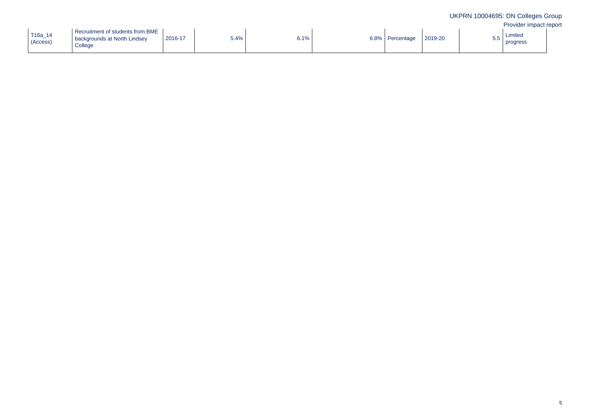| 5.5 | Limited<br>progress |  |
|-----|---------------------|--|
|     |                     |  |

| T16a_14<br>(Access) | Recruitment of students from BME<br>backgrounds at North Lindsey<br>College | 2016-17 | 5.4% | 6.1% | 6.8% | Percentage | 2019-20 | 5.5 |
|---------------------|-----------------------------------------------------------------------------|---------|------|------|------|------------|---------|-----|
|---------------------|-----------------------------------------------------------------------------|---------|------|------|------|------------|---------|-----|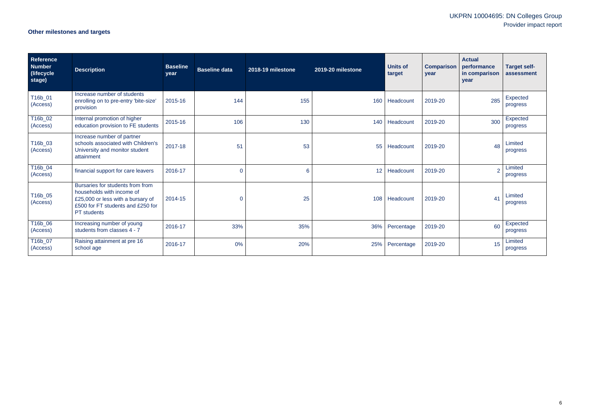## **Other milestones and targets**

| Reference<br>Number<br>(lifecycle)<br>stage) | <b>Description</b>                                                                                                                                            | <b>Baseline</b><br>year | <b>Baseline data</b> | 2018-19 milestone | 2019-20 milestone | <b>Units of</b><br>target | <b>Comparison</b><br>year | <b>Actual</b><br>performance<br>in comparison<br>year | <b>Target self-</b><br>assessment |
|----------------------------------------------|---------------------------------------------------------------------------------------------------------------------------------------------------------------|-------------------------|----------------------|-------------------|-------------------|---------------------------|---------------------------|-------------------------------------------------------|-----------------------------------|
| T16b_01<br>(Access)                          | Increase number of students<br>enrolling on to pre-entry 'bite-size'<br>provision                                                                             | 2015-16                 | 144                  | 155               | 160               | Headcount                 | 2019-20                   | 285                                                   | <b>Expected</b><br>progress       |
| T16b_02<br>(Access)                          | Internal promotion of higher<br>education provision to FE students                                                                                            | 2015-16                 | 106                  | 130               | 140               | Headcount                 | 2019-20                   | 300                                                   | Expected<br>progress              |
| T16b_03<br>(Access)                          | Increase number of partner<br>schools associated with Children's<br>University and monitor student<br>attainment                                              | 2017-18                 | 51                   | 53                | 55                | Headcount                 | 2019-20                   | 48                                                    | Limited<br>progress               |
| T16b_04<br>(Access)                          | financial support for care leavers                                                                                                                            | 2016-17                 | $\mathbf 0$          | 6                 | 12 <sup>2</sup>   | Headcount                 | 2019-20                   | $\overline{2}$                                        | Limited<br>progress               |
| T16b_05<br>(Access)                          | Bursaries for students from from<br>households with income of<br>£25,000 or less with a bursary of<br>£500 for FT students and £250 for<br><b>PT</b> students | 2014-15                 | $\mathbf 0$          | 25                |                   | 108   Headcount           | 2019-20                   | 41                                                    | Limited<br>progress               |
| T16b_06<br>(Access)                          | Increasing number of young<br>students from classes 4 - 7                                                                                                     | 2016-17                 | 33%                  | 35%               | 36%               | Percentage                | 2019-20                   | 60                                                    | Expected<br>progress              |
| T16b_07<br>(Access)                          | Raising attainment at pre 16<br>school age                                                                                                                    | 2016-17                 | 0%                   | 20%               | 25%               | Percentage                | 2019-20                   | 15                                                    | Limited<br>progress               |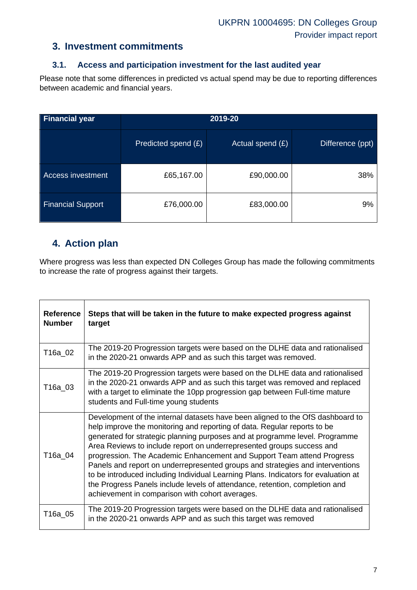### **3. Investment commitments**

### **3.1. Access and participation investment for the last audited year**

Please note that some differences in predicted vs actual spend may be due to reporting differences between academic and financial years.

| <b>Financial year</b>    | 2019-20             |                    |                  |  |  |
|--------------------------|---------------------|--------------------|------------------|--|--|
|                          | Predicted spend (£) | Actual spend $(E)$ | Difference (ppt) |  |  |
| Access investment        | £65,167.00          | £90,000.00         | 38%              |  |  |
| <b>Financial Support</b> | £76,000.00          | £83,000.00         | 9%               |  |  |

### **4. Action plan**

Where progress was less than expected DN Colleges Group has made the following commitments to increase the rate of progress against their targets.

| <b>Reference</b><br><b>Number</b> | Steps that will be taken in the future to make expected progress against<br>target                                                                                                                                                                                                                                                                                                                                                                                                                                                                                                                                                                                                                    |
|-----------------------------------|-------------------------------------------------------------------------------------------------------------------------------------------------------------------------------------------------------------------------------------------------------------------------------------------------------------------------------------------------------------------------------------------------------------------------------------------------------------------------------------------------------------------------------------------------------------------------------------------------------------------------------------------------------------------------------------------------------|
| T16a_02                           | The 2019-20 Progression targets were based on the DLHE data and rationalised<br>in the 2020-21 onwards APP and as such this target was removed.                                                                                                                                                                                                                                                                                                                                                                                                                                                                                                                                                       |
| T16a 03                           | The 2019-20 Progression targets were based on the DLHE data and rationalised<br>in the 2020-21 onwards APP and as such this target was removed and replaced<br>with a target to eliminate the 10pp progression gap between Full-time mature<br>students and Full-time young students                                                                                                                                                                                                                                                                                                                                                                                                                  |
| T16a 04                           | Development of the internal datasets have been aligned to the OfS dashboard to<br>help improve the monitoring and reporting of data. Regular reports to be<br>generated for strategic planning purposes and at programme level. Programme<br>Area Reviews to include report on underrepresented groups success and<br>progression. The Academic Enhancement and Support Team attend Progress<br>Panels and report on underrepresented groups and strategies and interventions<br>to be introduced including Individual Learning Plans. Indicators for evaluation at<br>the Progress Panels include levels of attendance, retention, completion and<br>achievement in comparison with cohort averages. |
| T16a_05                           | The 2019-20 Progression targets were based on the DLHE data and rationalised<br>in the 2020-21 onwards APP and as such this target was removed                                                                                                                                                                                                                                                                                                                                                                                                                                                                                                                                                        |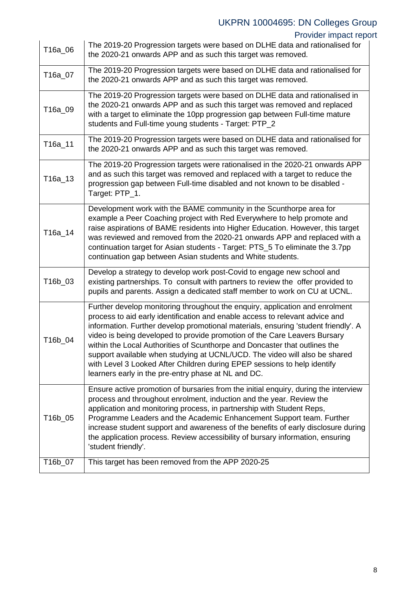Provider impact report

| T16a_06 | The 2019-20 Progression targets were based on DLHE data and rationalised for<br>the 2020-21 onwards APP and as such this target was removed.                                                                                                                                                                                                                                                                                                                                                                                                                                                                                   |
|---------|--------------------------------------------------------------------------------------------------------------------------------------------------------------------------------------------------------------------------------------------------------------------------------------------------------------------------------------------------------------------------------------------------------------------------------------------------------------------------------------------------------------------------------------------------------------------------------------------------------------------------------|
| T16a_07 | The 2019-20 Progression targets were based on DLHE data and rationalised for<br>the 2020-21 onwards APP and as such this target was removed.                                                                                                                                                                                                                                                                                                                                                                                                                                                                                   |
| T16a_09 | The 2019-20 Progression targets were based on DLHE data and rationalised in<br>the 2020-21 onwards APP and as such this target was removed and replaced<br>with a target to eliminate the 10pp progression gap between Full-time mature<br>students and Full-time young students - Target: PTP_2                                                                                                                                                                                                                                                                                                                               |
| T16a_11 | The 2019-20 Progression targets were based on DLHE data and rationalised for<br>the 2020-21 onwards APP and as such this target was removed.                                                                                                                                                                                                                                                                                                                                                                                                                                                                                   |
| T16a_13 | The 2019-20 Progression targets were rationalised in the 2020-21 onwards APP<br>and as such this target was removed and replaced with a target to reduce the<br>progression gap between Full-time disabled and not known to be disabled -<br>Target: PTP_1.                                                                                                                                                                                                                                                                                                                                                                    |
| T16a 14 | Development work with the BAME community in the Scunthorpe area for<br>example a Peer Coaching project with Red Everywhere to help promote and<br>raise aspirations of BAME residents into Higher Education. However, this target<br>was reviewed and removed from the 2020-21 onwards APP and replaced with a<br>continuation target for Asian students - Target: PTS_5 To eliminate the 3.7pp<br>continuation gap between Asian students and White students.                                                                                                                                                                 |
| T16b_03 | Develop a strategy to develop work post-Covid to engage new school and<br>existing partnerships. To consult with partners to review the offer provided to<br>pupils and parents. Assign a dedicated staff member to work on CU at UCNL.                                                                                                                                                                                                                                                                                                                                                                                        |
| T16b_04 | Further develop monitoring throughout the enquiry, application and enrolment<br>process to aid early identification and enable access to relevant advice and<br>information. Further develop promotional materials, ensuring 'student friendly'. A<br>video is being developed to provide promotion of the Care Leavers Bursary<br>within the Local Authorities of Scunthorpe and Doncaster that outlines the<br>support available when studying at UCNL/UCD. The video will also be shared<br>with Level 3 Looked After Children during EPEP sessions to help identify<br>learners early in the pre-entry phase at NL and DC. |
| T16b_05 | Ensure active promotion of bursaries from the initial enquiry, during the interview<br>process and throughout enrolment, induction and the year. Review the<br>application and monitoring process, in partnership with Student Reps,<br>Programme Leaders and the Academic Enhancement Support team. Further<br>increase student support and awareness of the benefits of early disclosure during<br>the application process. Review accessibility of bursary information, ensuring<br>'student friendly'.                                                                                                                     |
| T16b_07 | This target has been removed from the APP 2020-25                                                                                                                                                                                                                                                                                                                                                                                                                                                                                                                                                                              |

 $\overline{1}$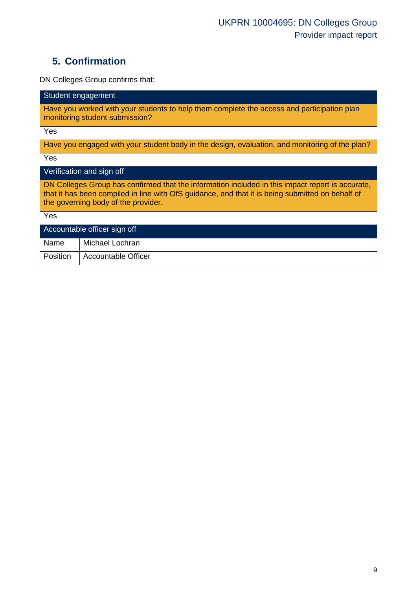## **5. Confirmation**

DN Colleges Group confirms that:

| Student engagement                                                                                                                                                                                                                          |  |  |  |  |  |
|---------------------------------------------------------------------------------------------------------------------------------------------------------------------------------------------------------------------------------------------|--|--|--|--|--|
| Have you worked with your students to help them complete the access and participation plan<br>monitoring student submission?                                                                                                                |  |  |  |  |  |
| Yes                                                                                                                                                                                                                                         |  |  |  |  |  |
| Have you engaged with your student body in the design, evaluation, and monitoring of the plan?                                                                                                                                              |  |  |  |  |  |
| Yes                                                                                                                                                                                                                                         |  |  |  |  |  |
| Verification and sign off                                                                                                                                                                                                                   |  |  |  |  |  |
| DN Colleges Group has confirmed that the information included in this impact report is accurate,<br>that it has been compiled in line with OfS guidance, and that it is being submitted on behalf of<br>the governing body of the provider. |  |  |  |  |  |
| Yes                                                                                                                                                                                                                                         |  |  |  |  |  |
| Accountable officer sign off                                                                                                                                                                                                                |  |  |  |  |  |
| Name<br>Michael Lochran                                                                                                                                                                                                                     |  |  |  |  |  |
| Position<br><b>Accountable Officer</b>                                                                                                                                                                                                      |  |  |  |  |  |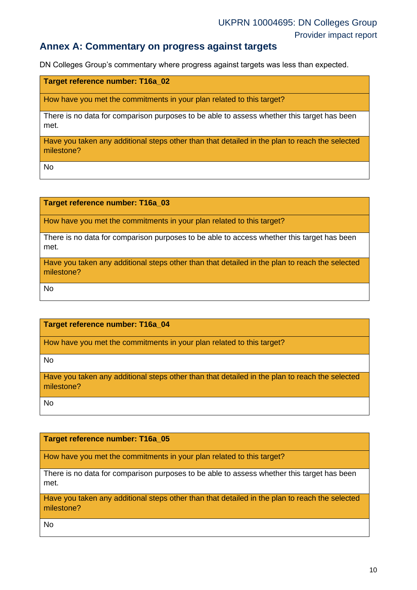### **Annex A: Commentary on progress against targets**

DN Colleges Group's commentary where progress against targets was less than expected.

**Target reference number: T16a\_02**

How have you met the commitments in your plan related to this target?

There is no data for comparison purposes to be able to assess whether this target has been met.

Have you taken any additional steps other than that detailed in the plan to reach the selected milestone?

No

**Target reference number: T16a\_03**

How have you met the commitments in your plan related to this target?

There is no data for comparison purposes to be able to access whether this target has been met.

Have you taken any additional steps other than that detailed in the plan to reach the selected milestone?

No

#### **Target reference number: T16a\_04**

How have you met the commitments in your plan related to this target?

No

Have you taken any additional steps other than that detailed in the plan to reach the selected milestone?

No

#### **Target reference number: T16a\_05**

How have you met the commitments in your plan related to this target?

There is no data for comparison purposes to be able to assess whether this target has been met.

Have you taken any additional steps other than that detailed in the plan to reach the selected milestone?

No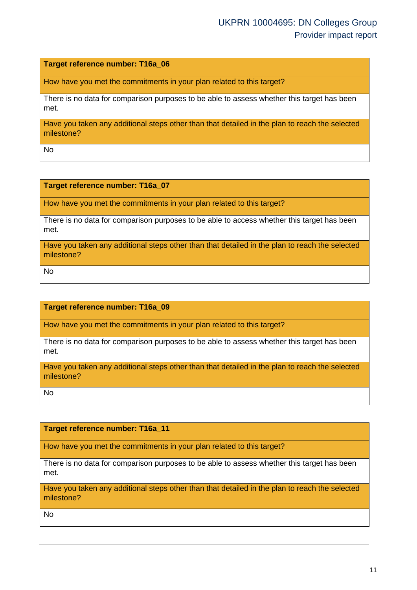**Target reference number: T16a\_06**

How have you met the commitments in your plan related to this target?

There is no data for comparison purposes to be able to assess whether this target has been met.

Have you taken any additional steps other than that detailed in the plan to reach the selected milestone?

No

**Target reference number: T16a\_07**

How have you met the commitments in your plan related to this target?

There is no data for comparison purposes to be able to access whether this target has been met.

Have you taken any additional steps other than that detailed in the plan to reach the selected milestone?

No

**Target reference number: T16a\_09**

How have you met the commitments in your plan related to this target?

There is no data for comparison purposes to be able to assess whether this target has been met.

Have you taken any additional steps other than that detailed in the plan to reach the selected milestone?

No

**Target reference number: T16a\_11**

How have you met the commitments in your plan related to this target?

There is no data for comparison purposes to be able to assess whether this target has been met.

Have you taken any additional steps other than that detailed in the plan to reach the selected milestone?

No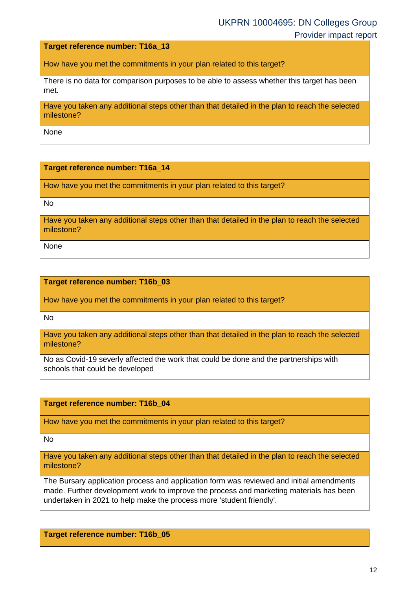Provider impact report

**Target reference number: T16a\_13**

How have you met the commitments in your plan related to this target?

There is no data for comparison purposes to be able to assess whether this target has been met.

Have you taken any additional steps other than that detailed in the plan to reach the selected milestone?

None

#### **Target reference number: T16a\_14**

How have you met the commitments in your plan related to this target?

No

Have you taken any additional steps other than that detailed in the plan to reach the selected milestone?

None

#### **Target reference number: T16b\_03**

How have you met the commitments in your plan related to this target?

No

Have you taken any additional steps other than that detailed in the plan to reach the selected milestone?

No as Covid-19 severly affected the work that could be done and the partnerships with schools that could be developed

#### **Target reference number: T16b\_04**

How have you met the commitments in your plan related to this target?

No

Have you taken any additional steps other than that detailed in the plan to reach the selected milestone?

The Bursary application process and application form was reviewed and initial amendments made. Further development work to improve the process and marketing materials has been undertaken in 2021 to help make the process more 'student friendly'.

**Target reference number: T16b\_05**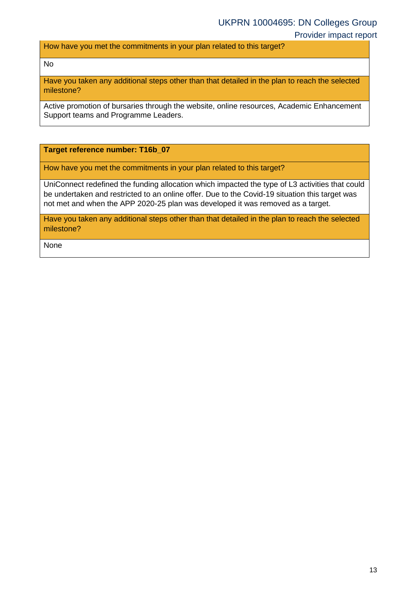How have you met the commitments in your plan related to this target?

No

Have you taken any additional steps other than that detailed in the plan to reach the selected milestone?

Active promotion of bursaries through the website, online resources, Academic Enhancement Support teams and Programme Leaders.

**Target reference number: T16b\_07**

How have you met the commitments in your plan related to this target?

UniConnect redefined the funding allocation which impacted the type of L3 activities that could be undertaken and restricted to an online offer. Due to the Covid-19 situation this target was not met and when the APP 2020-25 plan was developed it was removed as a target.

Have you taken any additional steps other than that detailed in the plan to reach the selected milestone?

None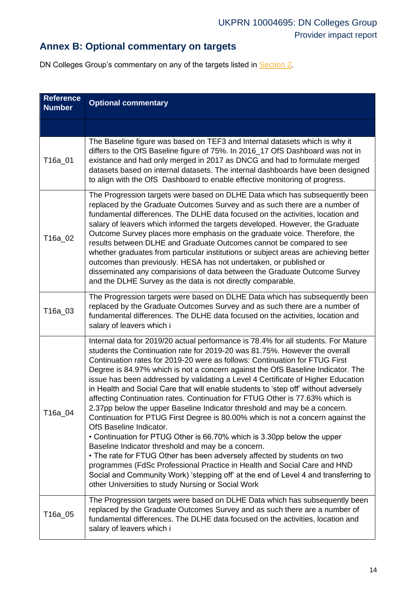## **Annex B: Optional commentary on targets**

DN Colleges Group's commentary on any of the targets listed in **Section 2**.

<span id="page-13-0"></span>

| <b>Reference</b><br><b>Number</b> | <b>Optional commentary</b>                                                                                                                                                                                                                                                                                                                                                                                                                                                                                                                                                                                                                                                                                                                                                                                                                                                                                                                                                                                                                                                                                                                                                                                                     |
|-----------------------------------|--------------------------------------------------------------------------------------------------------------------------------------------------------------------------------------------------------------------------------------------------------------------------------------------------------------------------------------------------------------------------------------------------------------------------------------------------------------------------------------------------------------------------------------------------------------------------------------------------------------------------------------------------------------------------------------------------------------------------------------------------------------------------------------------------------------------------------------------------------------------------------------------------------------------------------------------------------------------------------------------------------------------------------------------------------------------------------------------------------------------------------------------------------------------------------------------------------------------------------|
|                                   |                                                                                                                                                                                                                                                                                                                                                                                                                                                                                                                                                                                                                                                                                                                                                                                                                                                                                                                                                                                                                                                                                                                                                                                                                                |
| T16a_01                           | The Baseline figure was based on TEF3 and Internal datasets which is why it<br>differs to the OfS Baseline figure of 75%. In 2016_17 OfS Dashboard was not in<br>existance and had only merged in 2017 as DNCG and had to formulate merged<br>datasets based on internal datasets. The internal dashboards have been designed<br>to align with the OfS Dashboard to enable effective monitoring of progress.                                                                                                                                                                                                                                                                                                                                                                                                                                                                                                                                                                                                                                                                                                                                                                                                                   |
| T16a 02                           | The Progression targets were based on DLHE Data which has subsequently been<br>replaced by the Graduate Outcomes Survey and as such there are a number of<br>fundamental differences. The DLHE data focused on the activities, location and<br>salary of leavers which informed the targets developed. However, the Graduate<br>Outcome Survey places more emphasis on the graduate voice. Therefore, the<br>results between DLHE and Graduate Outcomes cannot be compared to see<br>whether graduates from particular institutions or subject areas are achieving better<br>outcomes than previously. HESA has not undertaken, or published or<br>disseminated any comparisions of data between the Graduate Outcome Survey<br>and the DLHE Survey as the data is not directly comparable.                                                                                                                                                                                                                                                                                                                                                                                                                                    |
| T16a_03                           | The Progression targets were based on DLHE Data which has subsequently been<br>replaced by the Graduate Outcomes Survey and as such there are a number of<br>fundamental differences. The DLHE data focused on the activities, location and<br>salary of leavers which i                                                                                                                                                                                                                                                                                                                                                                                                                                                                                                                                                                                                                                                                                                                                                                                                                                                                                                                                                       |
| T16a_04                           | Internal data for 2019/20 actual performance is 78.4% for all students. For Mature<br>students the Continuation rate for 2019-20 was 81.75%. However the overall<br>Continuation rates for 2019-20 were as follows: Continuation for FTUG First<br>Degree is 84.97% which is not a concern against the OfS Baseline Indicator. The<br>issue has been addressed by validating a Level 4 Certificate of Higher Education<br>in Health and Social Care that will enable students to 'step off' without adversely<br>affecting Continuation rates. Continuation for FTUG Other is 77.63% which is<br>2.37pp below the upper Baseline Indicator threshold and may be a concern.<br>Continuation for PTUG First Degree is 80.00% which is not a concern against the<br>OfS Baseline Indicator.<br>• Continuation for PTUG Other is 66.70% which is 3.30pp below the upper<br>Baseline Indicator threshold and may be a concern.<br>. The rate for FTUG Other has been adversely affected by students on two<br>programmes (FdSc Professional Practice in Health and Social Care and HND<br>Social and Community Work) 'stepping off' at the end of Level 4 and transferring to<br>other Universities to study Nursing or Social Work |
| T16a_05                           | The Progression targets were based on DLHE Data which has subsequently been<br>replaced by the Graduate Outcomes Survey and as such there are a number of<br>fundamental differences. The DLHE data focused on the activities, location and<br>salary of leavers which i                                                                                                                                                                                                                                                                                                                                                                                                                                                                                                                                                                                                                                                                                                                                                                                                                                                                                                                                                       |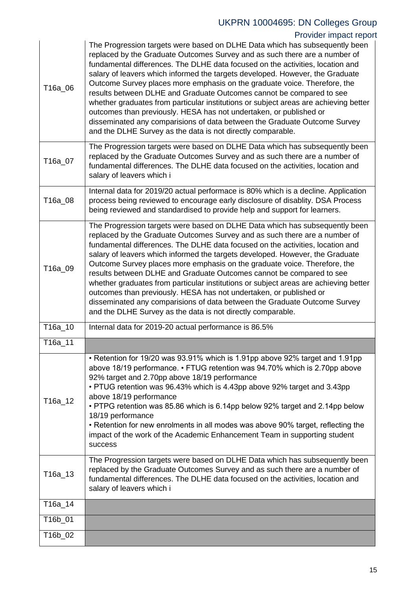### Provider impact report

| T16a_06 | The Progression targets were based on DLHE Data which has subsequently been<br>replaced by the Graduate Outcomes Survey and as such there are a number of<br>fundamental differences. The DLHE data focused on the activities, location and<br>salary of leavers which informed the targets developed. However, the Graduate<br>Outcome Survey places more emphasis on the graduate voice. Therefore, the<br>results between DLHE and Graduate Outcomes cannot be compared to see<br>whether graduates from particular institutions or subject areas are achieving better<br>outcomes than previously. HESA has not undertaken, or published or<br>disseminated any comparisions of data between the Graduate Outcome Survey<br>and the DLHE Survey as the data is not directly comparable. |
|---------|---------------------------------------------------------------------------------------------------------------------------------------------------------------------------------------------------------------------------------------------------------------------------------------------------------------------------------------------------------------------------------------------------------------------------------------------------------------------------------------------------------------------------------------------------------------------------------------------------------------------------------------------------------------------------------------------------------------------------------------------------------------------------------------------|
| T16a_07 | The Progression targets were based on DLHE Data which has subsequently been<br>replaced by the Graduate Outcomes Survey and as such there are a number of<br>fundamental differences. The DLHE data focused on the activities, location and<br>salary of leavers which i                                                                                                                                                                                                                                                                                                                                                                                                                                                                                                                    |
| T16a_08 | Internal data for 2019/20 actual performace is 80% which is a decline. Application<br>process being reviewed to encourage early disclosure of disablity. DSA Process<br>being reviewed and standardised to provide help and support for learners.                                                                                                                                                                                                                                                                                                                                                                                                                                                                                                                                           |
| T16a_09 | The Progression targets were based on DLHE Data which has subsequently been<br>replaced by the Graduate Outcomes Survey and as such there are a number of<br>fundamental differences. The DLHE data focused on the activities, location and<br>salary of leavers which informed the targets developed. However, the Graduate<br>Outcome Survey places more emphasis on the graduate voice. Therefore, the<br>results between DLHE and Graduate Outcomes cannot be compared to see<br>whether graduates from particular institutions or subject areas are achieving better<br>outcomes than previously. HESA has not undertaken, or published or<br>disseminated any comparisions of data between the Graduate Outcome Survey<br>and the DLHE Survey as the data is not directly comparable. |
| T16a_10 | Internal data for 2019-20 actual performance is 86.5%                                                                                                                                                                                                                                                                                                                                                                                                                                                                                                                                                                                                                                                                                                                                       |
| T16a_11 |                                                                                                                                                                                                                                                                                                                                                                                                                                                                                                                                                                                                                                                                                                                                                                                             |
| T16a_12 | • Retention for 19/20 was 93.91% which is 1.91pp above 92% target and 1.91pp<br>above 18/19 performance. • FTUG retention was 94.70% which is 2.70pp above<br>92% target and 2.70pp above 18/19 performance<br>• PTUG retention was 96.43% which is 4.43pp above 92% target and 3.43pp<br>above 18/19 performance<br>• PTPG retention was 85.86 which is 6.14pp below 92% target and 2.14pp below<br>18/19 performance<br>• Retention for new enrolments in all modes was above 90% target, reflecting the<br>impact of the work of the Academic Enhancement Team in supporting student<br>success                                                                                                                                                                                          |
| T16a_13 | The Progression targets were based on DLHE Data which has subsequently been<br>replaced by the Graduate Outcomes Survey and as such there are a number of<br>fundamental differences. The DLHE data focused on the activities, location and                                                                                                                                                                                                                                                                                                                                                                                                                                                                                                                                                 |
|         | salary of leavers which i                                                                                                                                                                                                                                                                                                                                                                                                                                                                                                                                                                                                                                                                                                                                                                   |
| T16a_14 |                                                                                                                                                                                                                                                                                                                                                                                                                                                                                                                                                                                                                                                                                                                                                                                             |
| T16b_01 |                                                                                                                                                                                                                                                                                                                                                                                                                                                                                                                                                                                                                                                                                                                                                                                             |